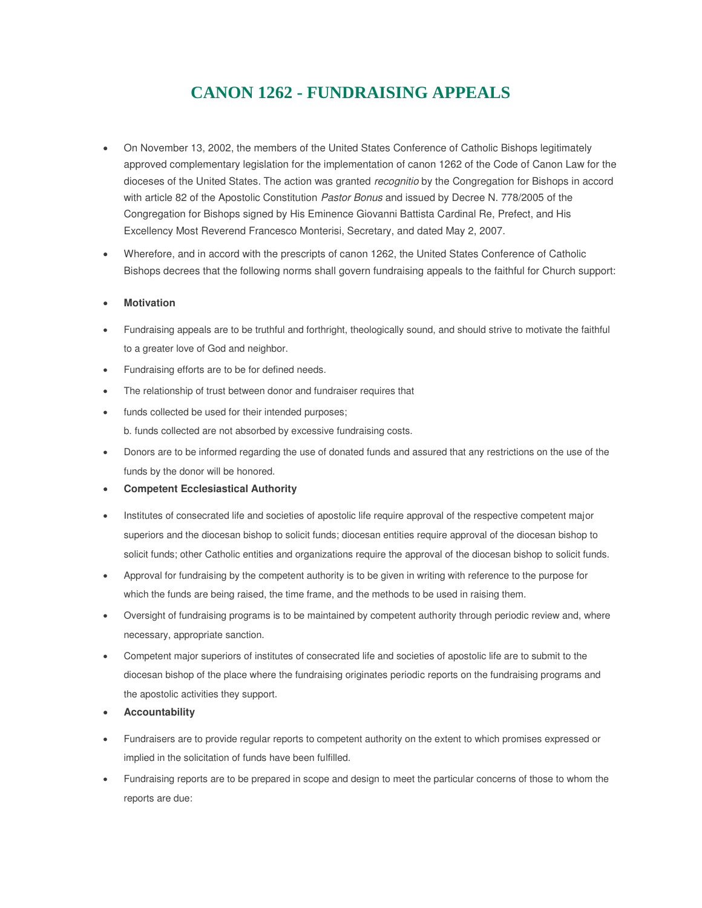## **CANON 1262 - FUNDRAISING APPEALS**

- On November 13, 2002, the members of the United States Conference of Catholic Bishops legitimately approved complementary legislation for the implementation of canon 1262 of the Code of Canon Law for the dioceses of the United States. The action was granted *recognitio* by the Congregation for Bishops in accord with article 82 of the Apostolic Constitution *Pastor Bonus* and issued by Decree N. 778/2005 of the Congregation for Bishops signed by His Eminence Giovanni Battista Cardinal Re, Prefect, and His Excellency Most Reverend Francesco Monterisi, Secretary, and dated May 2, 2007.
- Wherefore, and in accord with the prescripts of canon 1262, the United States Conference of Catholic Bishops decrees that the following norms shall govern fundraising appeals to the faithful for Church support:

## **Motivation**

- Fundraising appeals are to be truthful and forthright, theologically sound, and should strive to motivate the faithful to a greater love of God and neighbor.
- Fundraising efforts are to be for defined needs.
- The relationship of trust between donor and fundraiser requires that
- funds collected be used for their intended purposes; b. funds collected are not absorbed by excessive fundraising costs.
- Donors are to be informed regarding the use of donated funds and assured that any restrictions on the use of the funds by the donor will be honored.
- **Competent Ecclesiastical Authority**
- Institutes of consecrated life and societies of apostolic life require approval of the respective competent major superiors and the diocesan bishop to solicit funds; diocesan entities require approval of the diocesan bishop to solicit funds; other Catholic entities and organizations require the approval of the diocesan bishop to solicit funds.
- Approval for fundraising by the competent authority is to be given in writing with reference to the purpose for which the funds are being raised, the time frame, and the methods to be used in raising them.
- Oversight of fundraising programs is to be maintained by competent authority through periodic review and, where necessary, appropriate sanction.
- Competent major superiors of institutes of consecrated life and societies of apostolic life are to submit to the diocesan bishop of the place where the fundraising originates periodic reports on the fundraising programs and the apostolic activities they support.
- **Accountability**
- Fundraisers are to provide regular reports to competent authority on the extent to which promises expressed or implied in the solicitation of funds have been fulfilled.
- Fundraising reports are to be prepared in scope and design to meet the particular concerns of those to whom the reports are due: